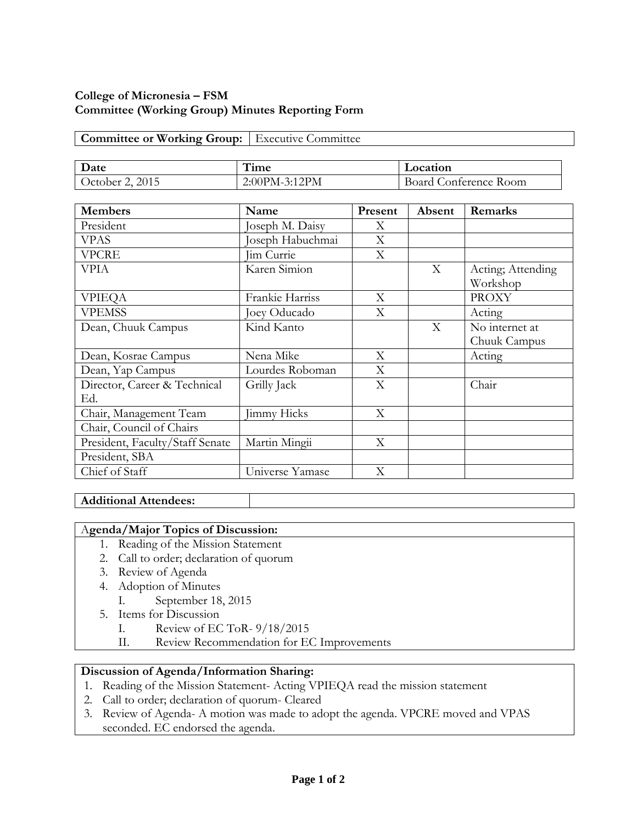# **College of Micronesia – FSM Committee (Working Group) Minutes Reporting Form**

## **Committee or Working Group:** Executive Committee

| Date            | $H^{\bullet}$<br>l 1me | Location                 |
|-----------------|------------------------|--------------------------|
| 2015<br>October | 2:00PM-3:12PM          | Conference Room<br>Board |

| <b>Members</b>                      | Name               | Present | Absent | Remarks                        |
|-------------------------------------|--------------------|---------|--------|--------------------------------|
| President                           | Joseph M. Daisy    | X       |        |                                |
| <b>VPAS</b>                         | Joseph Habuchmai   | X       |        |                                |
| <b>VPCRE</b>                        | Jim Currie         | X       |        |                                |
| VPIA                                | Karen Simion       |         | X      | Acting; Attending<br>Workshop  |
| <b>VPIEQA</b>                       | Frankie Harriss    | X       |        | <b>PROXY</b>                   |
| <b>VPEMSS</b>                       | Joey Oducado       | X       |        | Acting                         |
| Dean, Chuuk Campus                  | Kind Kanto         |         | X      | No internet at<br>Chuuk Campus |
| Dean, Kosrae Campus                 | Nena Mike          | X       |        | Acting                         |
| Dean, Yap Campus                    | Lourdes Roboman    | X       |        |                                |
| Director, Career & Technical<br>Ed. | Grilly Jack        | X       |        | Chair                          |
| Chair, Management Team              | <b>Jimmy Hicks</b> | X       |        |                                |
| Chair, Council of Chairs            |                    |         |        |                                |
| President, Faculty/Staff Senate     | Martin Mingii      | X       |        |                                |
| President, SBA                      |                    |         |        |                                |
| Chief of Staff                      | Universe Yamase    | X       |        |                                |

### **Additional Attendees:**

### A**genda/Major Topics of Discussion:**

- 1. Reading of the Mission Statement
- 2. Call to order; declaration of quorum
- 3. Review of Agenda
- 4. Adoption of Minutes
	- I. September 18, 2015
- 5. Items for Discussion
	- I. Review of EC ToR- 9/18/2015
	- II. Review Recommendation for EC Improvements

# **Discussion of Agenda/Information Sharing:**

- 1. Reading of the Mission Statement- Acting VPIEQA read the mission statement
- 2. Call to order; declaration of quorum- Cleared
- 3. Review of Agenda- A motion was made to adopt the agenda. VPCRE moved and VPAS seconded. EC endorsed the agenda.